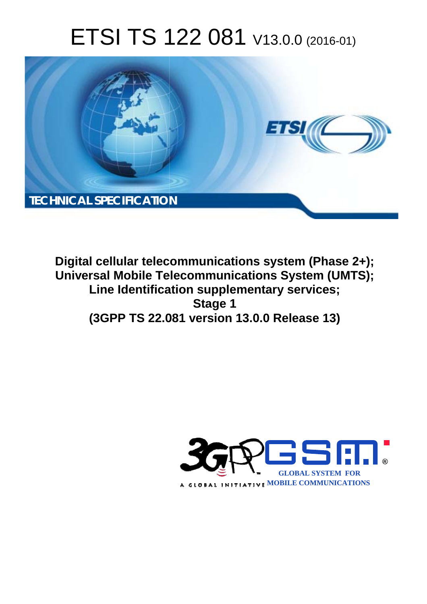# ETSI TS 122 081 V13.0.0 (2016-01)



Digital cellular telecommunications system (Phase 2+); Universal Mobile Telecommunications System (UMTS); Line Identification supplementary services; **Stage 1** (3GPP TS 22.081 version 13.0.0 Release 13)

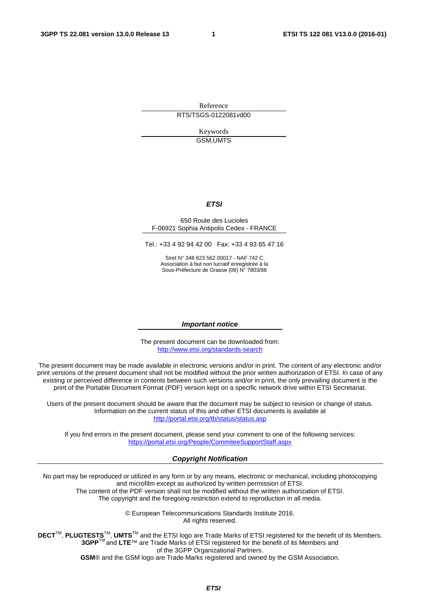Reference RTS/TSGS-0122081vd00

> Keywords GSM,UMTS

#### *ETSI*

#### 650 Route des Lucioles F-06921 Sophia Antipolis Cedex - FRANCE

Tel.: +33 4 92 94 42 00 Fax: +33 4 93 65 47 16

Siret N° 348 623 562 00017 - NAF 742 C Association à but non lucratif enregistrée à la Sous-Préfecture de Grasse (06) N° 7803/88

#### *Important notice*

The present document can be downloaded from: <http://www.etsi.org/standards-search>

The present document may be made available in electronic versions and/or in print. The content of any electronic and/or print versions of the present document shall not be modified without the prior written authorization of ETSI. In case of any existing or perceived difference in contents between such versions and/or in print, the only prevailing document is the print of the Portable Document Format (PDF) version kept on a specific network drive within ETSI Secretariat.

Users of the present document should be aware that the document may be subject to revision or change of status. Information on the current status of this and other ETSI documents is available at <http://portal.etsi.org/tb/status/status.asp>

If you find errors in the present document, please send your comment to one of the following services: <https://portal.etsi.org/People/CommiteeSupportStaff.aspx>

#### *Copyright Notification*

No part may be reproduced or utilized in any form or by any means, electronic or mechanical, including photocopying and microfilm except as authorized by written permission of ETSI.

The content of the PDF version shall not be modified without the written authorization of ETSI. The copyright and the foregoing restriction extend to reproduction in all media.

> © European Telecommunications Standards Institute 2016. All rights reserved.

**DECT**TM, **PLUGTESTS**TM, **UMTS**TM and the ETSI logo are Trade Marks of ETSI registered for the benefit of its Members. **3GPP**TM and **LTE**™ are Trade Marks of ETSI registered for the benefit of its Members and of the 3GPP Organizational Partners.

**GSM**® and the GSM logo are Trade Marks registered and owned by the GSM Association.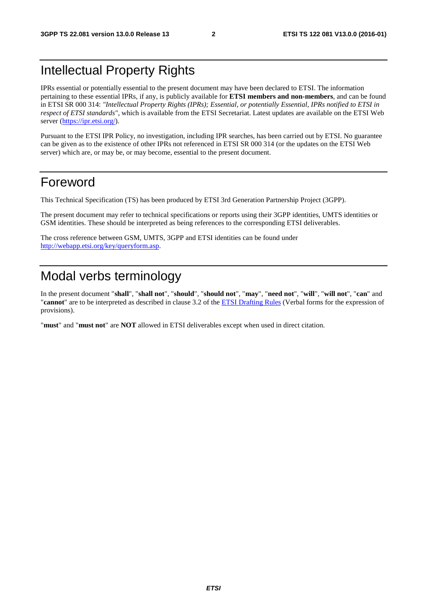# Intellectual Property Rights

IPRs essential or potentially essential to the present document may have been declared to ETSI. The information pertaining to these essential IPRs, if any, is publicly available for **ETSI members and non-members**, and can be found in ETSI SR 000 314: *"Intellectual Property Rights (IPRs); Essential, or potentially Essential, IPRs notified to ETSI in respect of ETSI standards"*, which is available from the ETSI Secretariat. Latest updates are available on the ETSI Web server [\(https://ipr.etsi.org/](https://ipr.etsi.org/)).

Pursuant to the ETSI IPR Policy, no investigation, including IPR searches, has been carried out by ETSI. No guarantee can be given as to the existence of other IPRs not referenced in ETSI SR 000 314 (or the updates on the ETSI Web server) which are, or may be, or may become, essential to the present document.

# Foreword

This Technical Specification (TS) has been produced by ETSI 3rd Generation Partnership Project (3GPP).

The present document may refer to technical specifications or reports using their 3GPP identities, UMTS identities or GSM identities. These should be interpreted as being references to the corresponding ETSI deliverables.

The cross reference between GSM, UMTS, 3GPP and ETSI identities can be found under [http://webapp.etsi.org/key/queryform.asp.](http://webapp.etsi.org/key/queryform.asp)

# Modal verbs terminology

In the present document "**shall**", "**shall not**", "**should**", "**should not**", "**may**", "**need not**", "**will**", "**will not**", "**can**" and "**cannot**" are to be interpreted as described in clause 3.2 of the [ETSI Drafting Rules](http://portal.etsi.org/Help/editHelp!/Howtostart/ETSIDraftingRules.aspx) (Verbal forms for the expression of provisions).

"**must**" and "**must not**" are **NOT** allowed in ETSI deliverables except when used in direct citation.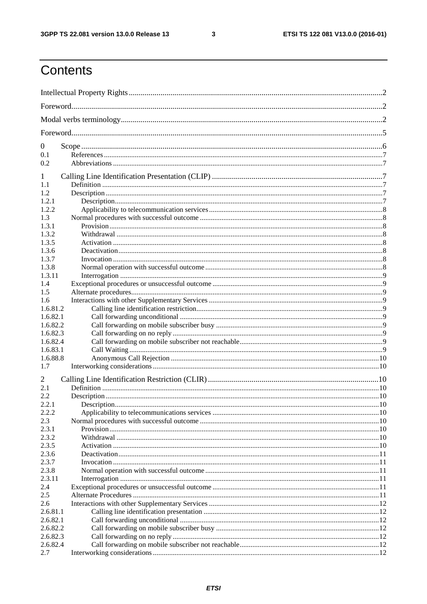$\mathbf{3}$ 

# Contents

| $\overline{0}$ |  |  |  |  |  |  |
|----------------|--|--|--|--|--|--|
| 0.1            |  |  |  |  |  |  |
| 0.2            |  |  |  |  |  |  |
| 1              |  |  |  |  |  |  |
| 1.1            |  |  |  |  |  |  |
| 1.2            |  |  |  |  |  |  |
| 1.2.1          |  |  |  |  |  |  |
| 1.2.2          |  |  |  |  |  |  |
| 1.3            |  |  |  |  |  |  |
| 1.3.1          |  |  |  |  |  |  |
| 1.3.2          |  |  |  |  |  |  |
| 1.3.5          |  |  |  |  |  |  |
| 1.3.6          |  |  |  |  |  |  |
| 1.3.7          |  |  |  |  |  |  |
| 1.3.8          |  |  |  |  |  |  |
| 1.3.11         |  |  |  |  |  |  |
| 1.4            |  |  |  |  |  |  |
| 1.5            |  |  |  |  |  |  |
| 1.6            |  |  |  |  |  |  |
| 1.6.81.2       |  |  |  |  |  |  |
| 1.6.82.1       |  |  |  |  |  |  |
| 1.6.82.2       |  |  |  |  |  |  |
| 1.6.82.3       |  |  |  |  |  |  |
| 1.6.82.4       |  |  |  |  |  |  |
| 1.6.83.1       |  |  |  |  |  |  |
| 1.6.88.8       |  |  |  |  |  |  |
| 1.7            |  |  |  |  |  |  |
| 2              |  |  |  |  |  |  |
| 2.1            |  |  |  |  |  |  |
| 2.2            |  |  |  |  |  |  |
| 2.2.1          |  |  |  |  |  |  |
| 2.2.2          |  |  |  |  |  |  |
| 2.3            |  |  |  |  |  |  |
| 2.3.1          |  |  |  |  |  |  |
| 2.3.2          |  |  |  |  |  |  |
| 2.3.5          |  |  |  |  |  |  |
| 2.3.6          |  |  |  |  |  |  |
| 2.3.7          |  |  |  |  |  |  |
| 2.3.8          |  |  |  |  |  |  |
| 2.3.11         |  |  |  |  |  |  |
| 2.4            |  |  |  |  |  |  |
| 2.5            |  |  |  |  |  |  |
| 2.6            |  |  |  |  |  |  |
| 2.6.81.1       |  |  |  |  |  |  |
| 2.6.82.1       |  |  |  |  |  |  |
| 2.6.82.2       |  |  |  |  |  |  |
| 2.6.82.3       |  |  |  |  |  |  |
| 2.6.82.4       |  |  |  |  |  |  |
| 2.7            |  |  |  |  |  |  |
|                |  |  |  |  |  |  |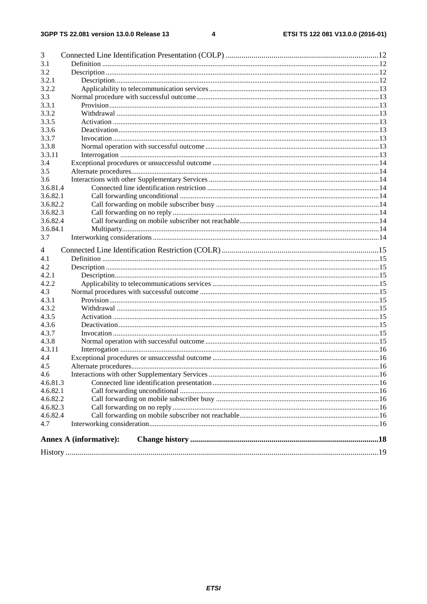| 3        |                               |  |  |  |  |  |  |
|----------|-------------------------------|--|--|--|--|--|--|
| 3.1      |                               |  |  |  |  |  |  |
| 3.2      |                               |  |  |  |  |  |  |
| 3.2.1    |                               |  |  |  |  |  |  |
| 3.2.2    |                               |  |  |  |  |  |  |
| 3.3      |                               |  |  |  |  |  |  |
| 3.3.1    |                               |  |  |  |  |  |  |
| 3.3.2    |                               |  |  |  |  |  |  |
| 3.3.5    |                               |  |  |  |  |  |  |
| 3.3.6    |                               |  |  |  |  |  |  |
| 3.3.7    |                               |  |  |  |  |  |  |
| 3.3.8    |                               |  |  |  |  |  |  |
| 3.3.11   |                               |  |  |  |  |  |  |
| 3.4      |                               |  |  |  |  |  |  |
| 3.5      |                               |  |  |  |  |  |  |
| 3.6      |                               |  |  |  |  |  |  |
| 3.6.81.4 |                               |  |  |  |  |  |  |
| 3.6.82.1 |                               |  |  |  |  |  |  |
| 3.6.82.2 |                               |  |  |  |  |  |  |
| 3.6.82.3 |                               |  |  |  |  |  |  |
| 3.6.82.4 |                               |  |  |  |  |  |  |
| 3.6.84.1 |                               |  |  |  |  |  |  |
|          |                               |  |  |  |  |  |  |
| 3.7      |                               |  |  |  |  |  |  |
| 4        |                               |  |  |  |  |  |  |
| 4.1      |                               |  |  |  |  |  |  |
| 4.2      |                               |  |  |  |  |  |  |
| 4.2.1    |                               |  |  |  |  |  |  |
| 4.2.2    |                               |  |  |  |  |  |  |
| 4.3      |                               |  |  |  |  |  |  |
| 4.3.1    |                               |  |  |  |  |  |  |
| 4.3.2    |                               |  |  |  |  |  |  |
| 4.3.5    |                               |  |  |  |  |  |  |
| 4.3.6    |                               |  |  |  |  |  |  |
| 4.3.7    |                               |  |  |  |  |  |  |
| 4.3.8    |                               |  |  |  |  |  |  |
| 4.3.11   |                               |  |  |  |  |  |  |
| 4.4      |                               |  |  |  |  |  |  |
| 4.5      |                               |  |  |  |  |  |  |
| 4.6      |                               |  |  |  |  |  |  |
| 4.6.81.3 |                               |  |  |  |  |  |  |
| 4.6.82.1 |                               |  |  |  |  |  |  |
| 4.6.82.2 |                               |  |  |  |  |  |  |
| 4.6.82.3 |                               |  |  |  |  |  |  |
| 4.6.82.4 |                               |  |  |  |  |  |  |
| 4.7      |                               |  |  |  |  |  |  |
|          |                               |  |  |  |  |  |  |
|          | <b>Annex A (informative):</b> |  |  |  |  |  |  |
|          |                               |  |  |  |  |  |  |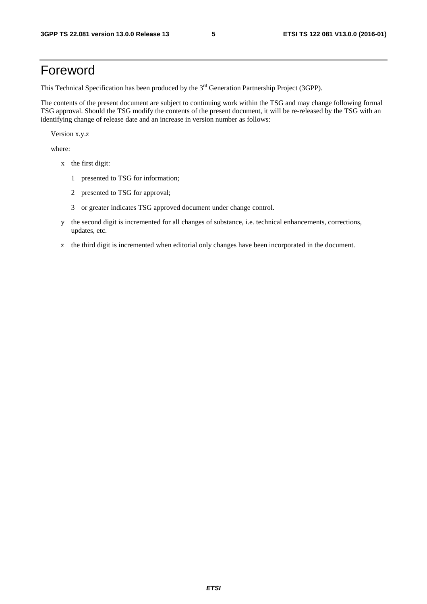# Foreword

This Technical Specification has been produced by the 3<sup>rd</sup> Generation Partnership Project (3GPP).

The contents of the present document are subject to continuing work within the TSG and may change following formal TSG approval. Should the TSG modify the contents of the present document, it will be re-released by the TSG with an identifying change of release date and an increase in version number as follows:

Version x.y.z

where:

- x the first digit:
	- 1 presented to TSG for information;
	- 2 presented to TSG for approval;
	- 3 or greater indicates TSG approved document under change control.
- y the second digit is incremented for all changes of substance, i.e. technical enhancements, corrections, updates, etc.
- z the third digit is incremented when editorial only changes have been incorporated in the document.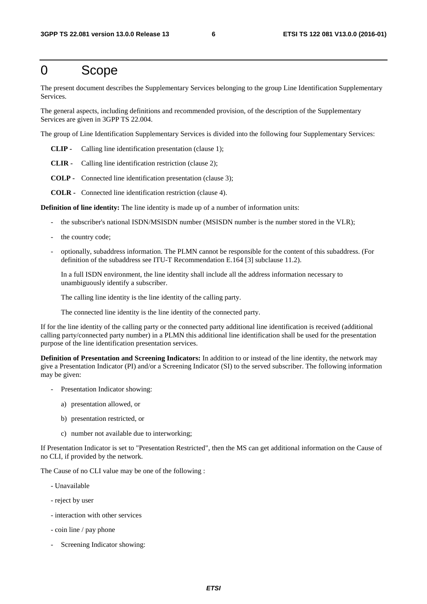# 0 Scope

The present document describes the Supplementary Services belonging to the group Line Identification Supplementary Services.

The general aspects, including definitions and recommended provision, of the description of the Supplementary Services are given in 3GPP TS 22.004.

The group of Line Identification Supplementary Services is divided into the following four Supplementary Services:

- **CLIP -** Calling line identification presentation (clause 1);
- **CLIR -** Calling line identification restriction (clause 2);
- **COLP -** Connected line identification presentation (clause 3);
- **COLR -** Connected line identification restriction (clause 4).

**Definition of line identity:** The line identity is made up of a number of information units:

- the subscriber's national ISDN/MSISDN number (MSISDN number is the number stored in the VLR);
- the country code;
- optionally, subaddress information. The PLMN cannot be responsible for the content of this subaddress. (For definition of the subaddress see ITU-T Recommendation E.164 [3] subclause 11.2).

 In a full ISDN environment, the line identity shall include all the address information necessary to unambiguously identify a subscriber.

The calling line identity is the line identity of the calling party.

The connected line identity is the line identity of the connected party.

If for the line identity of the calling party or the connected party additional line identification is received (additional calling party/connected party number) in a PLMN this additional line identification shall be used for the presentation purpose of the line identification presentation services.

**Definition of Presentation and Screening Indicators:** In addition to or instead of the line identity, the network may give a Presentation Indicator (PI) and/or a Screening Indicator (SI) to the served subscriber. The following information may be given:

- Presentation Indicator showing:
	- a) presentation allowed, or
	- b) presentation restricted, or
	- c) number not available due to interworking;

If Presentation Indicator is set to "Presentation Restricted", then the MS can get additional information on the Cause of no CLI, if provided by the network.

The Cause of no CLI value may be one of the following :

- Unavailable
- reject by user
- interaction with other services
- coin line / pay phone
- Screening Indicator showing: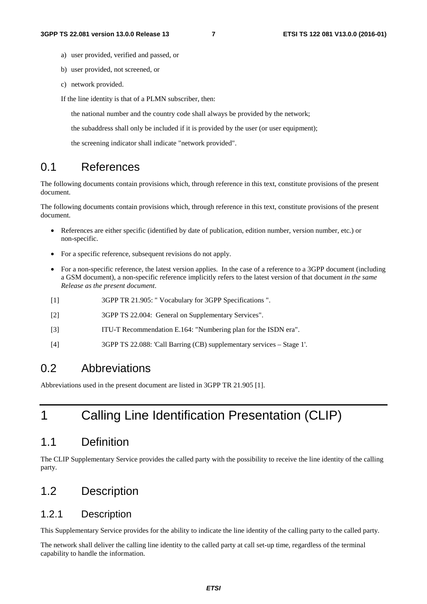- a) user provided, verified and passed, or
- b) user provided, not screened, or
- c) network provided.
- If the line identity is that of a PLMN subscriber, then:
	- the national number and the country code shall always be provided by the network;

the subaddress shall only be included if it is provided by the user (or user equipment);

the screening indicator shall indicate "network provided".

# 0.1 References

The following documents contain provisions which, through reference in this text, constitute provisions of the present document.

The following documents contain provisions which, through reference in this text, constitute provisions of the present document.

- References are either specific (identified by date of publication, edition number, version number, etc.) or non-specific.
- For a specific reference, subsequent revisions do not apply.
- For a non-specific reference, the latest version applies. In the case of a reference to a 3GPP document (including a GSM document), a non-specific reference implicitly refers to the latest version of that document *in the same Release as the present document*.
- [1] 3GPP TR 21.905: " Vocabulary for 3GPP Specifications ".
- [2] 3GPP TS 22.004: General on Supplementary Services".
- [3] ITU-T Recommendation E.164: "Numbering plan for the ISDN era".
- [4] 3GPP TS 22.088: 'Call Barring (CB) supplementary services Stage 1'.

# 0.2 Abbreviations

Abbreviations used in the present document are listed in 3GPP TR 21.905 [1].

# 1 Calling Line Identification Presentation (CLIP)

# 1.1 Definition

The CLIP Supplementary Service provides the called party with the possibility to receive the line identity of the calling party.

# 1.2 Description

### 1.2.1 Description

This Supplementary Service provides for the ability to indicate the line identity of the calling party to the called party.

The network shall deliver the calling line identity to the called party at call set-up time, regardless of the terminal capability to handle the information.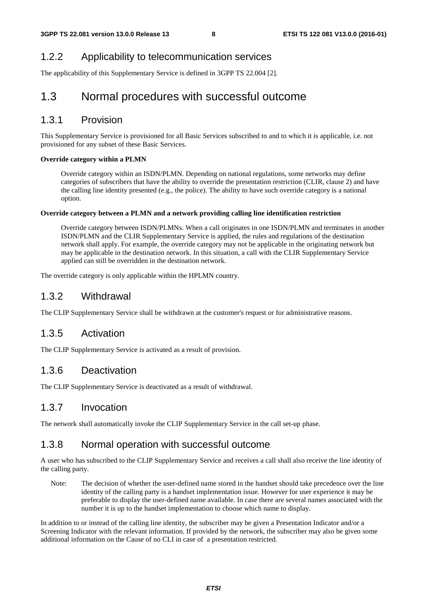### 1.2.2 Applicability to telecommunication services

The applicability of this Supplementary Service is defined in 3GPP TS 22.004 [2].

# 1.3 Normal procedures with successful outcome

### 1.3.1 Provision

This Supplementary Service is provisioned for all Basic Services subscribed to and to which it is applicable, i.e. not provisioned for any subset of these Basic Services.

#### **Override category within a PLMN**

 Override category within an ISDN/PLMN. Depending on national regulations, some networks may define categories of subscribers that have the ability to override the presentation restriction (CLIR, clause 2) and have the calling line identity presented (e.g., the police). The ability to have such override category is a national option.

#### **Override category between a PLMN and a network providing calling line identification restriction**

 Override category between ISDN/PLMNs. When a call originates in one ISDN/PLMN and terminates in another ISDN/PLMN and the CLIR Supplementary Service is applied, the rules and regulations of the destination network shall apply. For example, the override category may not be applicable in the originating network but may be applicable in the destination network. In this situation, a call with the CLIR Supplementary Service applied can still be overridden in the destination network.

The override category is only applicable within the HPLMN country.

### 1.3.2 Withdrawal

The CLIP Supplementary Service shall be withdrawn at the customer's request or for administrative reasons.

### 1.3.5 Activation

The CLIP Supplementary Service is activated as a result of provision.

### 1.3.6 Deactivation

The CLIP Supplementary Service is deactivated as a result of withdrawal.

### 1.3.7 Invocation

The network shall automatically invoke the CLIP Supplementary Service in the call set-up phase.

### 1.3.8 Normal operation with successful outcome

A user who has subscribed to the CLIP Supplementary Service and receives a call shall also receive the line identity of the calling party.

Note: The decision of whether the user-defined name stored in the handset should take precedence over the line identity of the calling party is a handset implementation issue. However for user experience it may be preferable to display the user-defined name available. In case there are several names associated with the number it is up to the handset implementation to choose which name to display.

In addition to or instead of the calling line identity, the subscriber may be given a Presentation Indicator and/or a Screening Indicator with the relevant information. If provided by the network, the subscriber may also be given some additional information on the Cause of no CLI in case of a presentation restricted.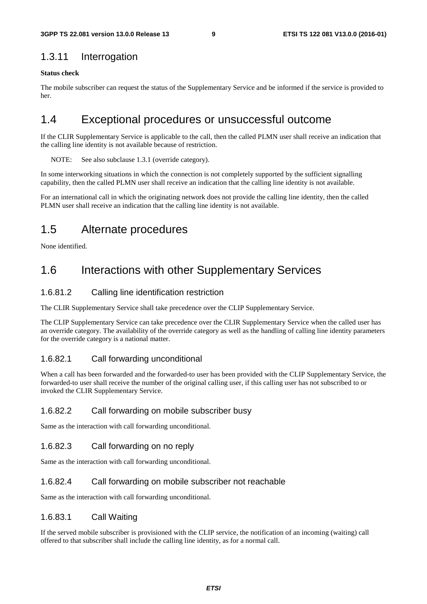### 1.3.11 Interrogation

#### **Status check**

The mobile subscriber can request the status of the Supplementary Service and be informed if the service is provided to her.

# 1.4 Exceptional procedures or unsuccessful outcome

If the CLIR Supplementary Service is applicable to the call, then the called PLMN user shall receive an indication that the calling line identity is not available because of restriction.

NOTE: See also subclause 1.3.1 (override category).

In some interworking situations in which the connection is not completely supported by the sufficient signalling capability, then the called PLMN user shall receive an indication that the calling line identity is not available.

For an international call in which the originating network does not provide the calling line identity, then the called PLMN user shall receive an indication that the calling line identity is not available.

# 1.5 Alternate procedures

None identified.

# 1.6 Interactions with other Supplementary Services

#### 1.6.81.2 Calling line identification restriction

The CLIR Supplementary Service shall take precedence over the CLIP Supplementary Service.

The CLIP Supplementary Service can take precedence over the CLIR Supplementary Service when the called user has an override category. The availability of the override category as well as the handling of calling line identity parameters for the override category is a national matter.

#### 1.6.82.1 Call forwarding unconditional

When a call has been forwarded and the forwarded-to user has been provided with the CLIP Supplementary Service, the forwarded-to user shall receive the number of the original calling user, if this calling user has not subscribed to or invoked the CLIR Supplementary Service.

#### 1.6.82.2 Call forwarding on mobile subscriber busy

Same as the interaction with call forwarding unconditional.

#### 1.6.82.3 Call forwarding on no reply

Same as the interaction with call forwarding unconditional.

#### 1.6.82.4 Call forwarding on mobile subscriber not reachable

Same as the interaction with call forwarding unconditional.

#### 1.6.83.1 Call Waiting

If the served mobile subscriber is provisioned with the CLIP service, the notification of an incoming (waiting) call offered to that subscriber shall include the calling line identity, as for a normal call.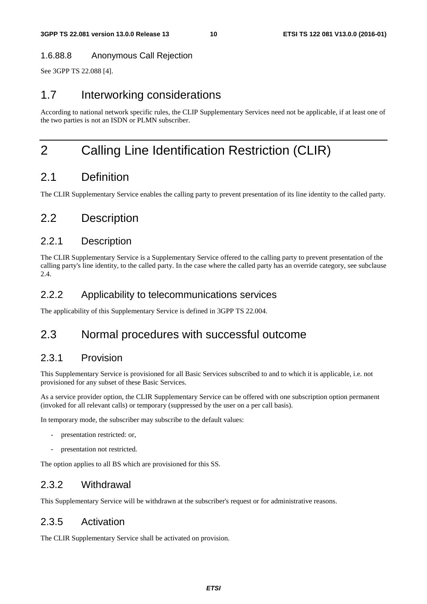### 1.6.88.8 Anonymous Call Rejection

See 3GPP TS 22.088 [4].

# 1.7 Interworking considerations

According to national network specific rules, the CLIP Supplementary Services need not be applicable, if at least one of the two parties is not an ISDN or PLMN subscriber.

# 2 Calling Line Identification Restriction (CLIR)

# 2.1 Definition

The CLIR Supplementary Service enables the calling party to prevent presentation of its line identity to the called party.

# 2.2 Description

### 2.2.1 Description

The CLIR Supplementary Service is a Supplementary Service offered to the calling party to prevent presentation of the calling party's line identity, to the called party. In the case where the called party has an override category, see subclause 2.4.

## 2.2.2 Applicability to telecommunications services

The applicability of this Supplementary Service is defined in 3GPP TS 22.004.

# 2.3 Normal procedures with successful outcome

## 2.3.1 Provision

This Supplementary Service is provisioned for all Basic Services subscribed to and to which it is applicable, i.e. not provisioned for any subset of these Basic Services.

As a service provider option, the CLIR Supplementary Service can be offered with one subscription option permanent (invoked for all relevant calls) or temporary (suppressed by the user on a per call basis).

In temporary mode, the subscriber may subscribe to the default values:

- presentation restricted: or,
- presentation not restricted.

The option applies to all BS which are provisioned for this SS.

### 2.3.2 Withdrawal

This Supplementary Service will be withdrawn at the subscriber's request or for administrative reasons.

### 2.3.5 Activation

The CLIR Supplementary Service shall be activated on provision.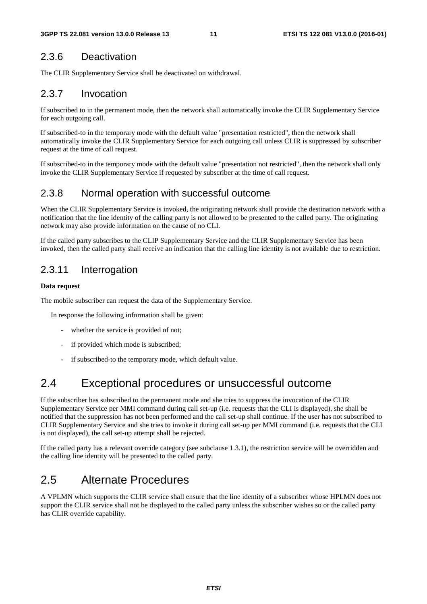## 2.3.6 Deactivation

The CLIR Supplementary Service shall be deactivated on withdrawal.

## 2.3.7 Invocation

If subscribed to in the permanent mode, then the network shall automatically invoke the CLIR Supplementary Service for each outgoing call.

If subscribed-to in the temporary mode with the default value "presentation restricted", then the network shall automatically invoke the CLIR Supplementary Service for each outgoing call unless CLIR is suppressed by subscriber request at the time of call request.

If subscribed-to in the temporary mode with the default value "presentation not restricted", then the network shall only invoke the CLIR Supplementary Service if requested by subscriber at the time of call request.

### 2.3.8 Normal operation with successful outcome

When the CLIR Supplementary Service is invoked, the originating network shall provide the destination network with a notification that the line identity of the calling party is not allowed to be presented to the called party. The originating network may also provide information on the cause of no CLI.

If the called party subscribes to the CLIP Supplementary Service and the CLIR Supplementary Service has been invoked, then the called party shall receive an indication that the calling line identity is not available due to restriction.

## 2.3.11 Interrogation

#### **Data request**

The mobile subscriber can request the data of the Supplementary Service.

In response the following information shall be given:

- whether the service is provided of not;
- if provided which mode is subscribed;
- if subscribed-to the temporary mode, which default value.

# 2.4 Exceptional procedures or unsuccessful outcome

If the subscriber has subscribed to the permanent mode and she tries to suppress the invocation of the CLIR Supplementary Service per MMI command during call set-up (i.e. requests that the CLI is displayed), she shall be notified that the suppression has not been performed and the call set-up shall continue. If the user has not subscribed to CLIR Supplementary Service and she tries to invoke it during call set-up per MMI command (i.e. requests that the CLI is not displayed), the call set-up attempt shall be rejected.

If the called party has a relevant override category (see subclause 1.3.1), the restriction service will be overridden and the calling line identity will be presented to the called party.

# 2.5 Alternate Procedures

A VPLMN which supports the CLIR service shall ensure that the line identity of a subscriber whose HPLMN does not support the CLIR service shall not be displayed to the called party unless the subscriber wishes so or the called party has CLIR override capability.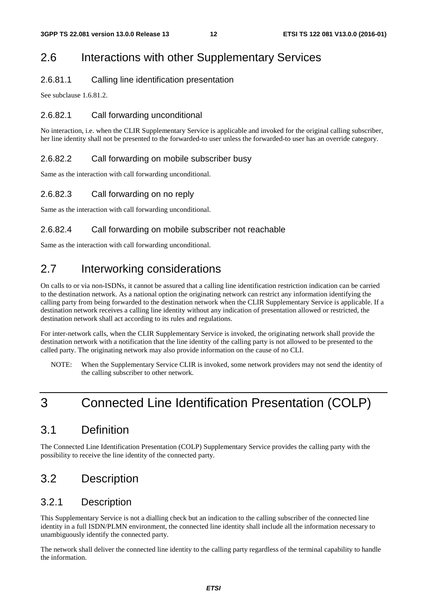# 2.6 Interactions with other Supplementary Services

#### 2.6.81.1 Calling line identification presentation

See subclause 1.6.81.2.

#### 2.6.82.1 Call forwarding unconditional

No interaction, i.e. when the CLIR Supplementary Service is applicable and invoked for the original calling subscriber, her line identity shall not be presented to the forwarded-to user unless the forwarded-to user has an override category.

#### 2.6.82.2 Call forwarding on mobile subscriber busy

Same as the interaction with call forwarding unconditional.

#### 2.6.82.3 Call forwarding on no reply

Same as the interaction with call forwarding unconditional.

#### 2.6.82.4 Call forwarding on mobile subscriber not reachable

Same as the interaction with call forwarding unconditional.

# 2.7 Interworking considerations

On calls to or via non-ISDNs, it cannot be assured that a calling line identification restriction indication can be carried to the destination network. As a national option the originating network can restrict any information identifying the calling party from being forwarded to the destination network when the CLIR Supplementary Service is applicable. If a destination network receives a calling line identity without any indication of presentation allowed or restricted, the destination network shall act according to its rules and regulations.

For inter-network calls, when the CLIR Supplementary Service is invoked, the originating network shall provide the destination network with a notification that the line identity of the calling party is not allowed to be presented to the called party. The originating network may also provide information on the cause of no CLI.

NOTE: When the Supplementary Service CLIR is invoked, some network providers may not send the identity of the calling subscriber to other network.

# 3 Connected Line Identification Presentation (COLP)

# 3.1 Definition

The Connected Line Identification Presentation (COLP) Supplementary Service provides the calling party with the possibility to receive the line identity of the connected party.

# 3.2 Description

### 3.2.1 Description

This Supplementary Service is not a dialling check but an indication to the calling subscriber of the connected line identity in a full ISDN/PLMN environment, the connected line identity shall include all the information necessary to unambiguously identify the connected party.

The network shall deliver the connected line identity to the calling party regardless of the terminal capability to handle the information.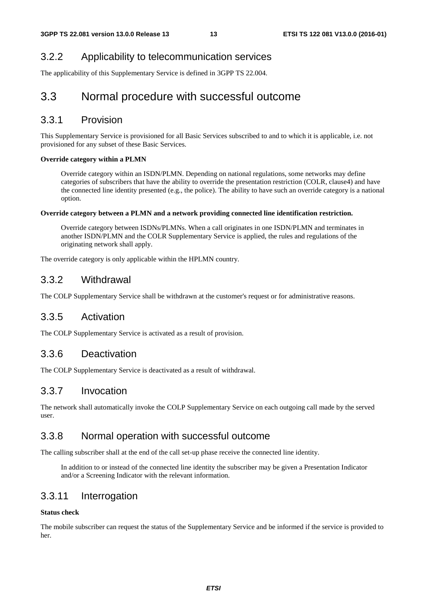## 3.2.2 Applicability to telecommunication services

The applicability of this Supplementary Service is defined in 3GPP TS 22.004.

# 3.3 Normal procedure with successful outcome

### 3.3.1 Provision

This Supplementary Service is provisioned for all Basic Services subscribed to and to which it is applicable, i.e. not provisioned for any subset of these Basic Services.

#### **Override category within a PLMN**

 Override category within an ISDN/PLMN. Depending on national regulations, some networks may define categories of subscribers that have the ability to override the presentation restriction (COLR, clause4) and have the connected line identity presented (e.g., the police). The ability to have such an override category is a national option.

#### **Override category between a PLMN and a network providing connected line identification restriction.**

 Override category between ISDNs/PLMNs. When a call originates in one ISDN/PLMN and terminates in another ISDN/PLMN and the COLR Supplementary Service is applied, the rules and regulations of the originating network shall apply.

The override category is only applicable within the HPLMN country.

### 3.3.2 Withdrawal

The COLP Supplementary Service shall be withdrawn at the customer's request or for administrative reasons.

## 3.3.5 Activation

The COLP Supplementary Service is activated as a result of provision.

### 3.3.6 Deactivation

The COLP Supplementary Service is deactivated as a result of withdrawal.

### 3.3.7 Invocation

The network shall automatically invoke the COLP Supplementary Service on each outgoing call made by the served user.

### 3.3.8 Normal operation with successful outcome

The calling subscriber shall at the end of the call set-up phase receive the connected line identity.

 In addition to or instead of the connected line identity the subscriber may be given a Presentation Indicator and/or a Screening Indicator with the relevant information.

### 3.3.11 Interrogation

#### **Status check**

The mobile subscriber can request the status of the Supplementary Service and be informed if the service is provided to her.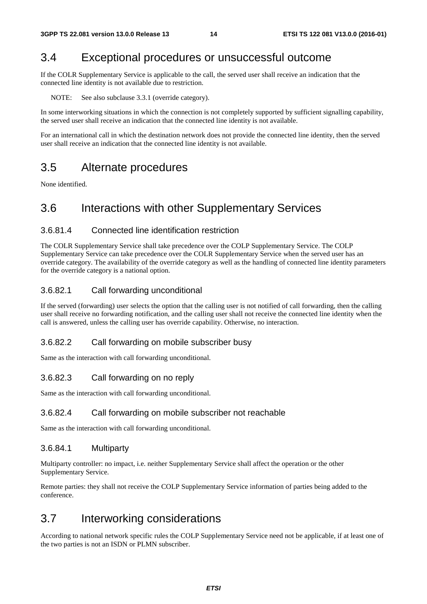# 3.4 Exceptional procedures or unsuccessful outcome

If the COLR Supplementary Service is applicable to the call, the served user shall receive an indication that the connected line identity is not available due to restriction.

NOTE: See also subclause 3.3.1 (override category).

In some interworking situations in which the connection is not completely supported by sufficient signalling capability, the served user shall receive an indication that the connected line identity is not available.

For an international call in which the destination network does not provide the connected line identity, then the served user shall receive an indication that the connected line identity is not available.

# 3.5 Alternate procedures

None identified.

# 3.6 Interactions with other Supplementary Services

#### 3.6.81.4 Connected line identification restriction

The COLR Supplementary Service shall take precedence over the COLP Supplementary Service. The COLP Supplementary Service can take precedence over the COLR Supplementary Service when the served user has an override category. The availability of the override category as well as the handling of connected line identity parameters for the override category is a national option.

#### 3.6.82.1 Call forwarding unconditional

If the served (forwarding) user selects the option that the calling user is not notified of call forwarding, then the calling user shall receive no forwarding notification, and the calling user shall not receive the connected line identity when the call is answered, unless the calling user has override capability. Otherwise, no interaction.

#### 3.6.82.2 Call forwarding on mobile subscriber busy

Same as the interaction with call forwarding unconditional.

#### 3.6.82.3 Call forwarding on no reply

Same as the interaction with call forwarding unconditional.

#### 3.6.82.4 Call forwarding on mobile subscriber not reachable

Same as the interaction with call forwarding unconditional.

#### 3.6.84.1 Multiparty

Multiparty controller: no impact, i.e. neither Supplementary Service shall affect the operation or the other Supplementary Service.

Remote parties: they shall not receive the COLP Supplementary Service information of parties being added to the conference.

# 3.7 Interworking considerations

According to national network specific rules the COLP Supplementary Service need not be applicable, if at least one of the two parties is not an ISDN or PLMN subscriber.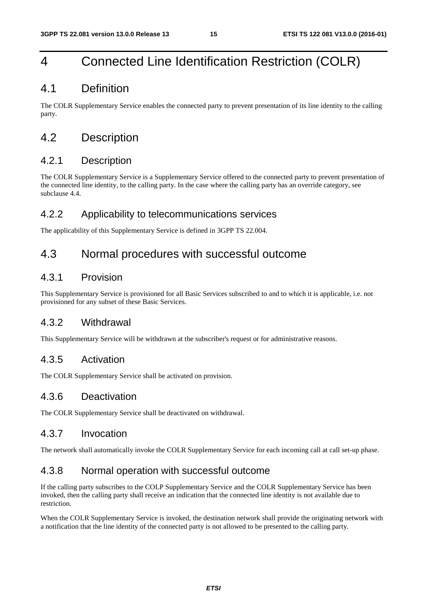# 4 Connected Line Identification Restriction (COLR)

# 4.1 Definition

The COLR Supplementary Service enables the connected party to prevent presentation of its line identity to the calling party.

# 4.2 Description

### 4.2.1 Description

The COLR Supplementary Service is a Supplementary Service offered to the connected party to prevent presentation of the connected line identity, to the calling party. In the case where the calling party has an override category, see subclause 4.4.

### 4.2.2 Applicability to telecommunications services

The applicability of this Supplementary Service is defined in 3GPP TS 22.004.

# 4.3 Normal procedures with successful outcome

### 4.3.1 Provision

This Supplementary Service is provisioned for all Basic Services subscribed to and to which it is applicable, i.e. not provisioned for any subset of these Basic Services.

### 4.3.2 Withdrawal

This Supplementary Service will be withdrawn at the subscriber's request or for administrative reasons.

## 4.3.5 Activation

The COLR Supplementary Service shall be activated on provision.

### 4.3.6 Deactivation

The COLR Supplementary Service shall be deactivated on withdrawal.

## 4.3.7 Invocation

The network shall automatically invoke the COLR Supplementary Service for each incoming call at call set-up phase.

## 4.3.8 Normal operation with successful outcome

If the calling party subscribes to the COLP Supplementary Service and the COLR Supplementary Service has been invoked, then the calling party shall receive an indication that the connected line identity is not available due to restriction.

When the COLR Supplementary Service is invoked, the destination network shall provide the originating network with a notification that the line identity of the connected party is not allowed to be presented to the calling party.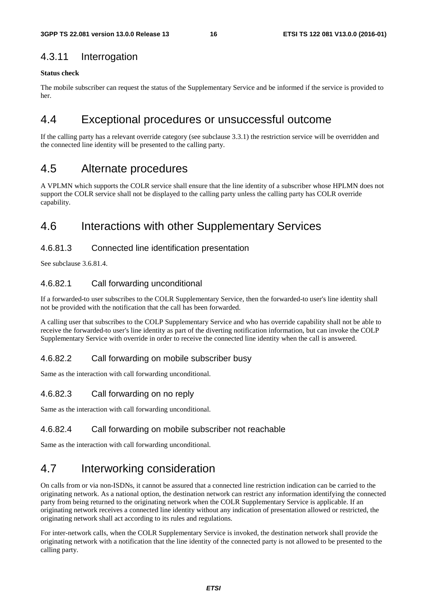# 4.3.11 Interrogation

#### **Status check**

The mobile subscriber can request the status of the Supplementary Service and be informed if the service is provided to her.

# 4.4 Exceptional procedures or unsuccessful outcome

If the calling party has a relevant override category (see subclause 3.3.1) the restriction service will be overridden and the connected line identity will be presented to the calling party.

# 4.5 Alternate procedures

A VPLMN which supports the COLR service shall ensure that the line identity of a subscriber whose HPLMN does not support the COLR service shall not be displayed to the calling party unless the calling party has COLR override capability.

# 4.6 Interactions with other Supplementary Services

#### 4.6.81.3 Connected line identification presentation

See subclause 3.6.81.4.

### 4.6.82.1 Call forwarding unconditional

If a forwarded-to user subscribes to the COLR Supplementary Service, then the forwarded-to user's line identity shall not be provided with the notification that the call has been forwarded.

A calling user that subscribes to the COLP Supplementary Service and who has override capability shall not be able to receive the forwarded-to user's line identity as part of the diverting notification information, but can invoke the COLP Supplementary Service with override in order to receive the connected line identity when the call is answered.

### 4.6.82.2 Call forwarding on mobile subscriber busy

Same as the interaction with call forwarding unconditional.

### 4.6.82.3 Call forwarding on no reply

Same as the interaction with call forwarding unconditional.

#### 4.6.82.4 Call forwarding on mobile subscriber not reachable

Same as the interaction with call forwarding unconditional.

# 4.7 Interworking consideration

On calls from or via non-ISDNs, it cannot be assured that a connected line restriction indication can be carried to the originating network. As a national option, the destination network can restrict any information identifying the connected party from being returned to the originating network when the COLR Supplementary Service is applicable. If an originating network receives a connected line identity without any indication of presentation allowed or restricted, the originating network shall act according to its rules and regulations.

For inter-network calls, when the COLR Supplementary Service is invoked, the destination network shall provide the originating network with a notification that the line identity of the connected party is not allowed to be presented to the calling party.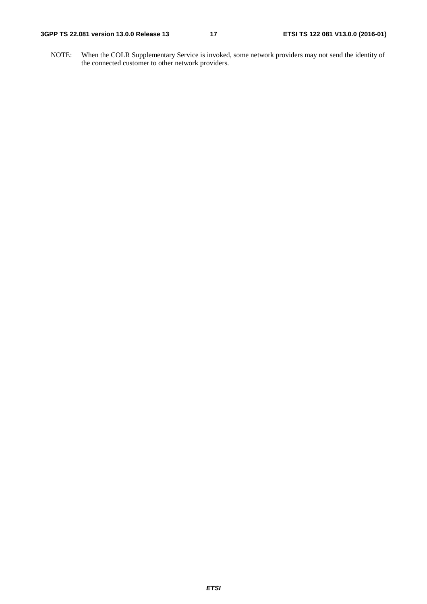NOTE: When the COLR Supplementary Service is invoked, some network providers may not send the identity of the connected customer to other network providers.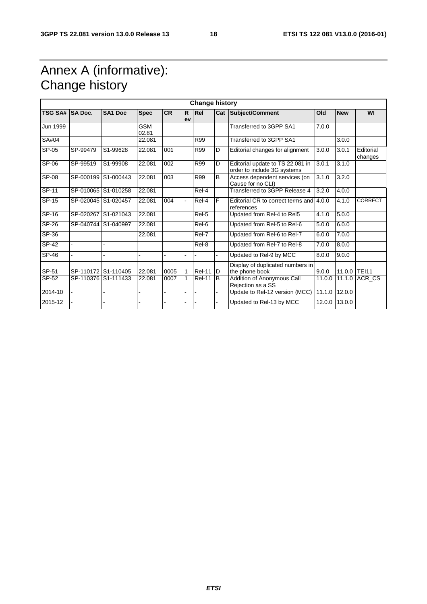# Annex A (informative): Change history

| <b>Change history</b> |                     |                     |                     |           |         |               |           |                                                                 |        |            |                      |
|-----------------------|---------------------|---------------------|---------------------|-----------|---------|---------------|-----------|-----------------------------------------------------------------|--------|------------|----------------------|
| <b>TSG SA#</b>        | <b>SA Doc.</b>      | SA <sub>1</sub> Doc | <b>Spec</b>         | <b>CR</b> | R<br>ev | Rel           | Cat       | Subject/Comment                                                 | Old    | <b>New</b> | WI                   |
| Jun 1999              |                     |                     | <b>GSM</b><br>02.81 |           |         |               |           | Transferred to 3GPP SA1                                         | 7.0.0  |            |                      |
| SA#04                 |                     |                     | 22.081              |           |         | R99           |           | Transferred to 3GPP SA1                                         |        | 3.0.0      |                      |
| SP-05                 | SP-99479            | S1-99628            | 22.081              | 001       |         | <b>R99</b>    | D         | Editorial changes for alignment                                 | 3.0.0  | 3.0.1      | Editorial<br>changes |
| SP-06                 | SP-99519            | S1-99908            | 22.081              | 002       |         | <b>R99</b>    | D         | Editorial update to TS 22.081 in<br>order to include 3G systems | 3.0.1  | 3.1.0      |                      |
| SP-08                 | SP-000199 S1-000443 |                     | 22.081              | 003       |         | R99           | B         | Access dependent services (on<br>Cause for no CLI)              | 3.1.0  | 3.2.0      |                      |
| SP-11                 | SP-010065 S1-010258 |                     | 22.081              |           |         | Rel-4         |           | Transferred to 3GPP Release 4                                   | 3.2.0  | 4.0.0      |                      |
| SP-15                 | SP-020045 S1-020457 |                     | 22.081              | 004       |         | Rel-4         | F         | Editorial CR to correct terms and<br>references                 | 4.0.0  | 4.1.0      | <b>CORRECT</b>       |
| $SP-16$               | SP-020267 S1-021043 |                     | 22.081              |           |         | Rel-5         |           | Updated from Rel-4 to Rel5                                      | 4.1.0  | 5.0.0      |                      |
| SP-26                 | SP-040744 S1-040997 |                     | 22.081              |           |         | Rel-6         |           | Updated from Rel-5 to Rel-6                                     | 5.0.0  | 6.0.0      |                      |
| SP-36                 |                     |                     | 22.081              |           |         | Rel-7         |           | Updated from Rel-6 to Rel-7                                     | 6.0.0  | 7.0.0      |                      |
| $SP-42$               |                     |                     |                     |           |         | Rel-8         |           | Updated from Rel-7 to Rel-8                                     | 7.0.0  | 8.0.0      |                      |
| SP-46                 |                     |                     | ÷.                  |           |         |               |           | Updated to Rel-9 by MCC                                         | 8.0.0  | 9.0.0      |                      |
| SP-51                 | SP-110172 S1-110405 |                     | 22.081              | 0005      |         | <b>Rel-11</b> | <b>ID</b> | Display of duplicated numbers in<br>the phone book              | 9.0.0  | 11.0.0     | <b>TEI11</b>         |
| SP-52                 | SP-110376 S1-111433 |                     | 22.081              | 0007      |         | <b>Rel-11</b> | B         | Addition of Anonymous Call<br>Rejection as a SS                 | 11.0.0 | 11.1.0     | ACR CS               |
| 2014-10               |                     |                     |                     |           |         |               |           | Update to Rel-12 version (MCC)                                  | 11.1.0 | 12.0.0     |                      |
| 2015-12               |                     |                     |                     |           |         |               |           | Updated to Rel-13 by MCC                                        | 12.0.0 | 13.0.0     |                      |